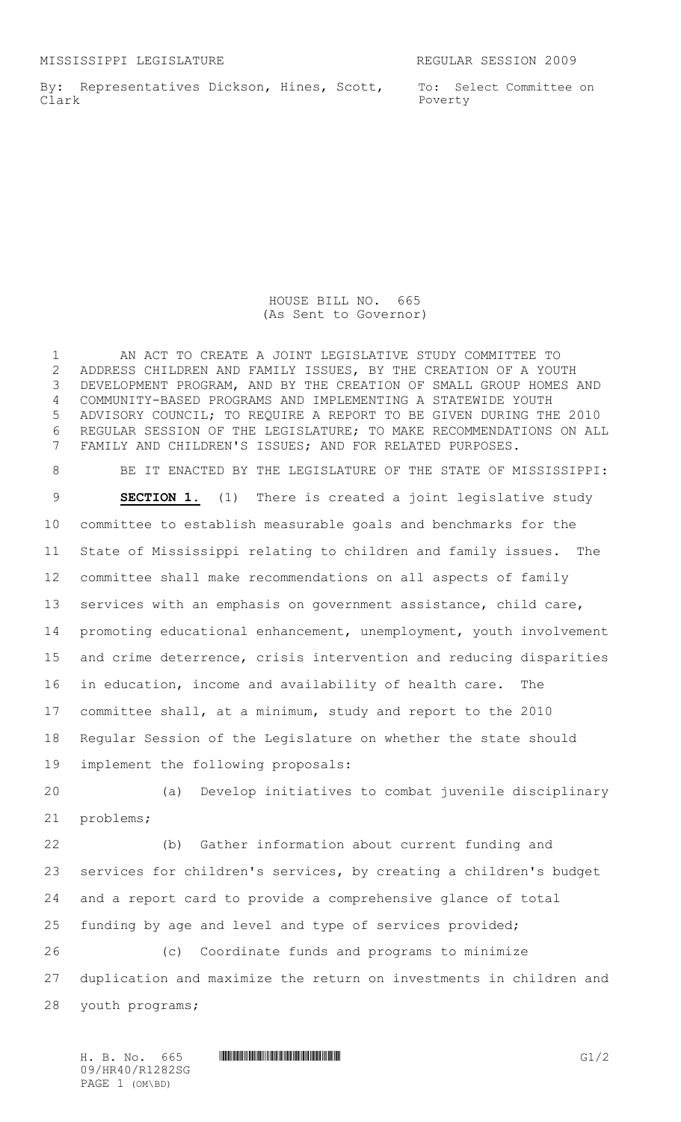By: Representatives Dickson, Hines, Scott, Clark

To: Select Committee on Poverty

HOUSE BILL NO. 665 (As Sent to Governor)

 AN ACT TO CREATE A JOINT LEGISLATIVE STUDY COMMITTEE TO ADDRESS CHILDREN AND FAMILY ISSUES, BY THE CREATION OF A YOUTH DEVELOPMENT PROGRAM, AND BY THE CREATION OF SMALL GROUP HOMES AND COMMUNITY-BASED PROGRAMS AND IMPLEMENTING A STATEWIDE YOUTH ADVISORY COUNCIL; TO REQUIRE A REPORT TO BE GIVEN DURING THE 2010 REGULAR SESSION OF THE LEGISLATURE; TO MAKE RECOMMENDATIONS ON ALL FAMILY AND CHILDREN'S ISSUES; AND FOR RELATED PURPOSES.

8 BE IT ENACTED BY THE LEGISLATURE OF THE STATE OF MISSISSIPPI: **SECTION 1.** (1) There is created a joint legislative study committee to establish measurable goals and benchmarks for the State of Mississippi relating to children and family issues. The committee shall make recommendations on all aspects of family services with an emphasis on government assistance, child care, promoting educational enhancement, unemployment, youth involvement and crime deterrence, crisis intervention and reducing disparities in education, income and availability of health care. The committee shall, at a minimum, study and report to the 2010 Regular Session of the Legislature on whether the state should implement the following proposals: (a) Develop initiatives to combat juvenile disciplinary problems; (b) Gather information about current funding and services for children's services, by creating a children's budget and a report card to provide a comprehensive glance of total funding by age and level and type of services provided; (c) Coordinate funds and programs to minimize duplication and maximize the return on investments in children and

youth programs;

H. B. No. 665 \*HR40/R1282SG\* G1/2 09/HR40/R1282SG PAGE 1 (OM\BD)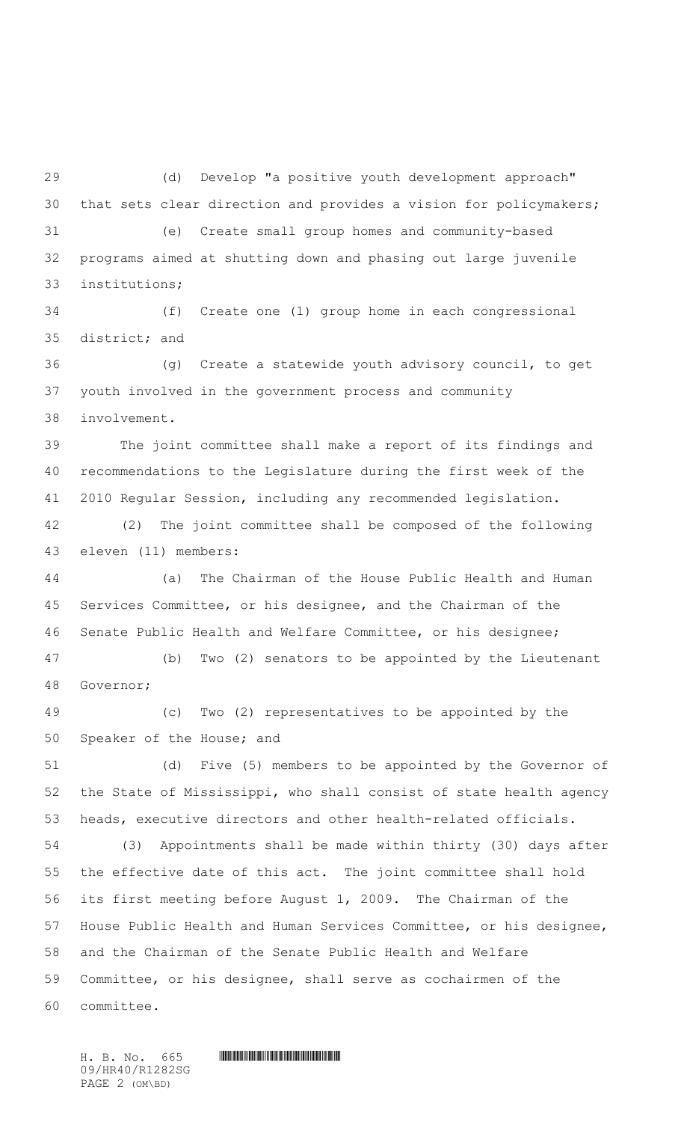(d) Develop "a positive youth development approach" that sets clear direction and provides a vision for policymakers; (e) Create small group homes and community-based programs aimed at shutting down and phasing out large juvenile institutions;

 (f) Create one (1) group home in each congressional district; and

 (g) Create a statewide youth advisory council, to get youth involved in the government process and community involvement.

 The joint committee shall make a report of its findings and recommendations to the Legislature during the first week of the 2010 Regular Session, including any recommended legislation.

 (2) The joint committee shall be composed of the following eleven (11) members:

 (a) The Chairman of the House Public Health and Human Services Committee, or his designee, and the Chairman of the Senate Public Health and Welfare Committee, or his designee;

 (b) Two (2) senators to be appointed by the Lieutenant Governor;

 (c) Two (2) representatives to be appointed by the Speaker of the House; and

 (d) Five (5) members to be appointed by the Governor of the State of Mississippi, who shall consist of state health agency heads, executive directors and other health-related officials.

 (3) Appointments shall be made within thirty (30) days after the effective date of this act. The joint committee shall hold its first meeting before August 1, 2009. The Chairman of the House Public Health and Human Services Committee, or his designee, and the Chairman of the Senate Public Health and Welfare Committee, or his designee, shall serve as cochairmen of the committee.

 $H. B. No. 665$  .  $H. B. N \circ 10^{10}$ 09/HR40/R1282SG PAGE 2 (OM\BD)